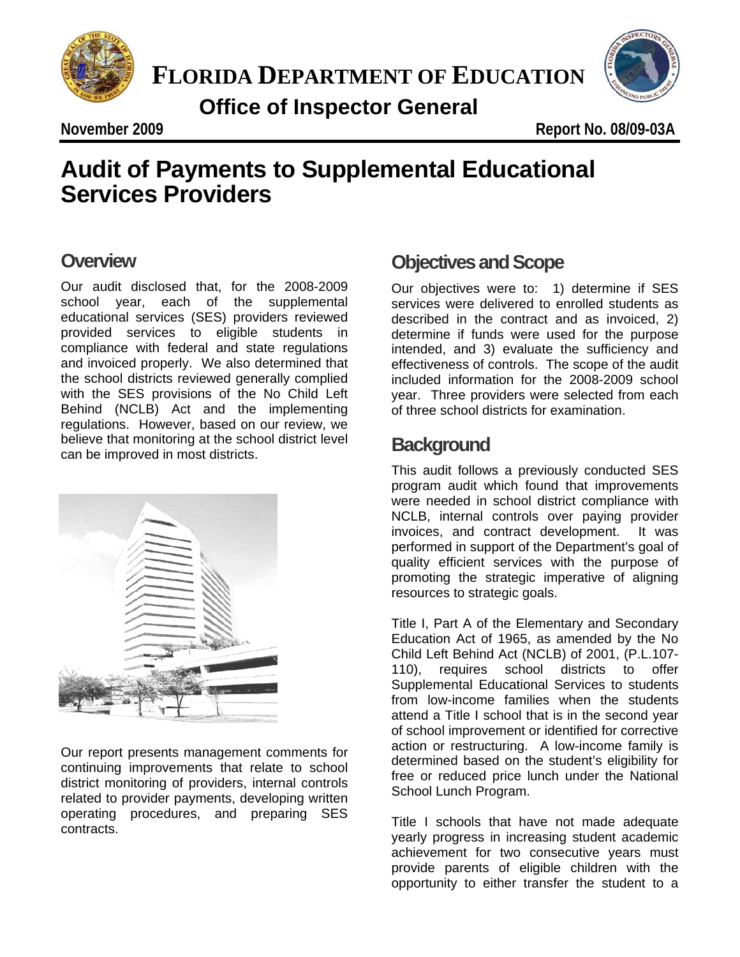

 **Office of Inspector General FLORIDA DEPARTMENT OF EDUCATION**

**November 2009 Report No. 08/09-03A** 

# **udit of Payments to Supplemental Educationa**<br>ervices Providers **Audit of Payments to Supplemental Educational Services Providers**

# **Overview**

Our audit disclosed that, for the 2008-2009 school year, each of the supplemental educational services (SES) providers reviewed provided services to eligible students in compliance with federal and state regulations and invoiced properly. We also determined that the school districts reviewed generally complied with the SES provisions of the No Child Left Behind (NCLB) Act and the implementing regulations. However, based on our review, we believe that monitoring at the school district level can be improved in most districts.



Our report presents management comments for continuing improvements that relate to school district monitoring of providers, internal controls related to provider payments, developing written operating procedures, and preparing SES contracts.

# **Objectives and Scope**

Our objectives were to: 1) determine if SES services were delivered to enrolled students as described in the contract and as invoiced, 2) determine if funds were used for the purpose intended, and 3) evaluate the sufficiency and effectiveness of controls. The scope of the audit included information for the 2008-2009 school year. Three providers were selected from each of three school districts for examination.

# **Background**

This audit follows a previously conducted SES program audit which found that improvements were needed in school district compliance with NCLB, internal controls over paying provider invoices, and contract development. It was performed in support of the Department's goal of quality efficient services with the purpose of promoting the strategic imperative of aligning resources to strategic goals.

Title I, Part A of the Elementary and Secondary Education Act of 1965, as amended by the No Child Left Behind Act (NCLB) of 2001, (P.L.107- 110), requires school districts to offer Supplemental Educational Services to students from low-income families when the students attend a Title I school that is in the second year of school improvement or identified for corrective action or restructuring. A low-income family is determined based on the student's eligibility for free or reduced price lunch under the National School Lunch Program.

Title I schools that have not made adequate yearly progress in increasing student academic achievement for two consecutive years must provide parents of eligible children with the opportunity to either transfer the student to a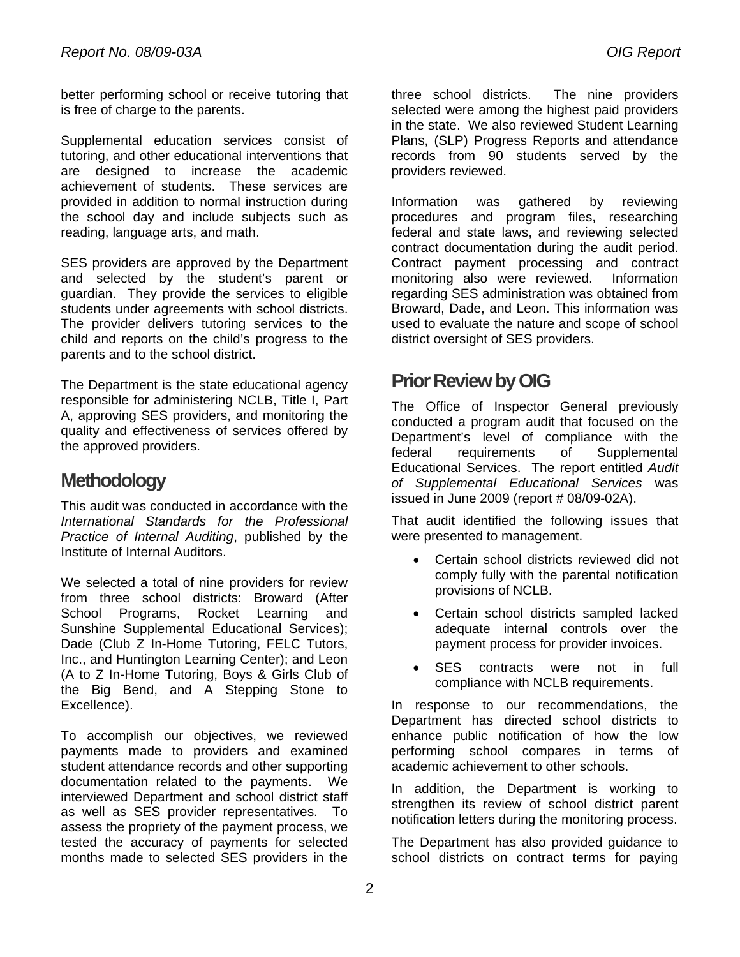better performing school or receive tutoring that is free of charge to the parents.

Supplemental education services consist of tutoring, and other educational interventions that are designed to increase the academic achievement of students. These services are provided in addition to normal instruction during the school day and include subjects such as reading, language arts, and math.

SES providers are approved by the Department and selected by the student's parent or guardian. They provide the services to eligible students under agreements with school districts. The provider delivers tutoring services to the child and reports on the child's progress to the parents and to the school district.

The Department is the state educational agency responsible for administering NCLB, Title I, Part A, approving SES providers, and monitoring the quality and effectiveness of services offered by the approved providers.

## **Methodology**

This audit was conducted in accordance with the *International Standards for the Professional Practice of Internal Auditing*, published by the Institute of Internal Auditors.

We selected a total of nine providers for review from three school districts: Broward (After School Programs, Rocket Learning and Sunshine Supplemental Educational Services); Dade (Club Z In-Home Tutoring, FELC Tutors, Inc., and Huntington Learning Center); and Leon (A to Z In-Home Tutoring, Boys & Girls Club of the Big Bend, and A Stepping Stone to Excellence).

To accomplish our objectives, we reviewed payments made to providers and examined student attendance records and other supporting documentation related to the payments. We interviewed Department and school district staff as well as SES provider representatives. To assess the propriety of the payment process, we tested the accuracy of payments for selected months made to selected SES providers in the

three school districts. The nine providers selected were among the highest paid providers in the state. We also reviewed Student Learning Plans, (SLP) Progress Reports and attendance records from 90 students served by the providers reviewed.

Information was gathered by reviewing procedures and program files, researching federal and state laws, and reviewing selected contract documentation during the audit period. Contract payment processing and contract monitoring also were reviewed. Information regarding SES administration was obtained from Broward, Dade, and Leon. This information was used to evaluate the nature and scope of school district oversight of SES providers.

# **Prior Review by OIG**

The Office of Inspector General previously conducted a program audit that focused on the Department's level of compliance with the federal requirements of Supplemental Educational Services. The report entitled *Audit of Supplemental Educational Services* was issued in June 2009 (report # 08/09-02A).

That audit identified the following issues that were presented to management.

- Certain school districts reviewed did not comply fully with the parental notification provisions of NCLB.
- Certain school districts sampled lacked adequate internal controls over the payment process for provider invoices.
- SES contracts were not in full compliance with NCLB requirements.

In response to our recommendations, the Department has directed school districts to enhance public notification of how the low performing school compares in terms of academic achievement to other schools.

In addition, the Department is working to strengthen its review of school district parent notification letters during the monitoring process.

The Department has also provided guidance to school districts on contract terms for paying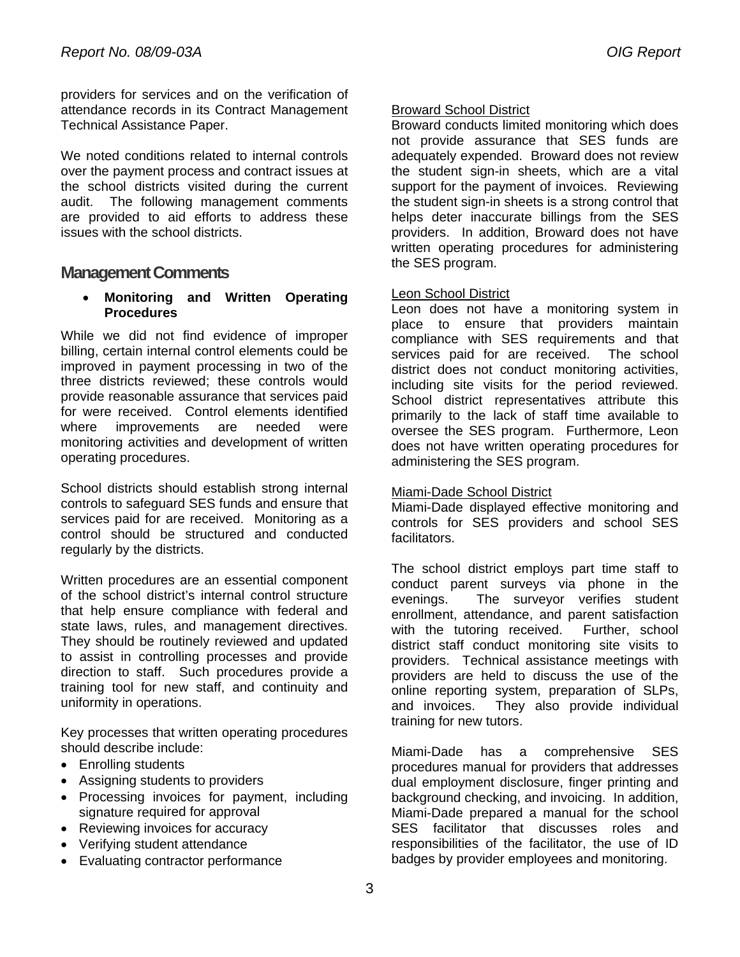providers for services and on the verification of attendance records in its Contract Management Technical Assistance Paper.

We noted conditions related to internal controls over the payment process and contract issues at the school districts visited during the current audit. The following management comments are provided to aid efforts to address these issues with the school districts.

## **Management Comments**

 **Monitoring and Written Operating Procedures**

While we did not find evidence of improper billing, certain internal control elements could be improved in payment processing in two of the three districts reviewed; these controls would provide reasonable assurance that services paid for were received. Control elements identified where improvements are needed were monitoring activities and development of written operating procedures.

School districts should establish strong internal controls to safeguard SES funds and ensure that services paid for are received. Monitoring as a control should be structured and conducted regularly by the districts.

Written procedures are an essential component of the school district's internal control structure that help ensure compliance with federal and state laws, rules, and management directives. They should be routinely reviewed and updated to assist in controlling processes and provide direction to staff. Such procedures provide a training tool for new staff, and continuity and uniformity in operations.

Key processes that written operating procedures should describe include:

- Enrolling students
- Assigning students to providers
- Processing invoices for payment, including signature required for approval
- Reviewing invoices for accuracy
- Verifying student attendance
- Evaluating contractor performance

## Broward School District

Broward conducts limited monitoring which does not provide assurance that SES funds are adequately expended. Broward does not review the student sign-in sheets, which are a vital support for the payment of invoices. Reviewing the student sign-in sheets is a strong control that helps deter inaccurate billings from the SES providers. In addition, Broward does not have written operating procedures for administering the SES program.

## Leon School District

Leon does not have a monitoring system in place to ensure that providers maintain compliance with SES requirements and that services paid for are received. The school district does not conduct monitoring activities, including site visits for the period reviewed. School district representatives attribute this primarily to the lack of staff time available to oversee the SES program. Furthermore, Leon does not have written operating procedures for administering the SES program.

## Miami-Dade School District

Miami-Dade displayed effective monitoring and controls for SES providers and school SES facilitators.

The school district employs part time staff to conduct parent surveys via phone in the evenings. The surveyor verifies student enrollment, attendance, and parent satisfaction with the tutoring received. Further, school district staff conduct monitoring site visits to providers. Technical assistance meetings with providers are held to discuss the use of the online reporting system, preparation of SLPs, and invoices. They also provide individual training for new tutors.

Miami-Dade has a comprehensive SES procedures manual for providers that addresses dual employment disclosure, finger printing and background checking, and invoicing. In addition, Miami-Dade prepared a manual for the school SES facilitator that discusses roles and responsibilities of the facilitator, the use of ID badges by provider employees and monitoring.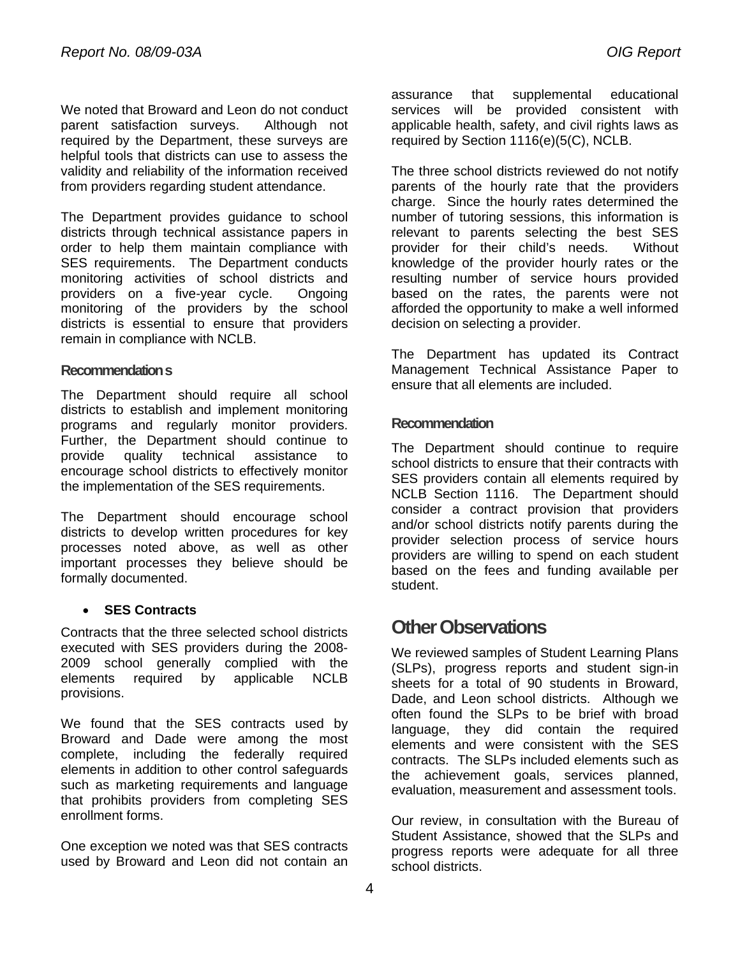We noted that Broward and Leon do not conduct parent satisfaction surveys. Although not required by the Department, these surveys are helpful tools that districts can use to assess the validity and reliability of the information received from providers regarding student attendance.

The Department provides guidance to school districts through technical assistance papers in order to help them maintain compliance with SES requirements. The Department conducts monitoring activities of school districts and providers on a five-year cycle. Ongoing monitoring of the providers by the school districts is essential to ensure that providers remain in compliance with NCLB.

#### **Recommendation s**

The Department should require all school districts to establish and implement monitoring programs and regularly monitor providers. Further, the Department should continue to provide quality technical assistance to encourage school districts to effectively monitor the implementation of the SES requirements.

The Department should encourage school districts to develop written procedures for key processes noted above, as well as other important processes they believe should be formally documented.

## **SES Contracts**

Contracts that the three selected school districts executed with SES providers during the 2008- 2009 school generally complied with the<br>elements required by applicable NCLB elements required by applicable NCLB provisions.

We found that the SES contracts used by Broward and Dade were among the most complete, including the federally required elements in addition to other control safeguards such as marketing requirements and language that prohibits providers from completing SES enrollment forms.

One exception we noted was that SES contracts used by Broward and Leon did not contain an assurance that supplemental educational services will be provided consistent with applicable health, safety, and civil rights laws as required by Section 1116(e)(5(C), NCLB.

The three school districts reviewed do not notify parents of the hourly rate that the providers charge. Since the hourly rates determined the number of tutoring sessions, this information is relevant to parents selecting the best SES provider for their child's needs. Without knowledge of the provider hourly rates or the resulting number of service hours provided based on the rates, the parents were not afforded the opportunity to make a well informed decision on selecting a provider.

The Department has updated its Contract Management Technical Assistance Paper to ensure that all elements are included.

#### **Recommendation**

The Department should continue to require school districts to ensure that their contracts with SES providers contain all elements required by NCLB Section 1116. The Department should consider a contract provision that providers and/or school districts notify parents during the provider selection process of service hours providers are willing to spend on each student based on the fees and funding available per student.

## **Other Observations**

We reviewed samples of Student Learning Plans (SLPs), progress reports and student sign-in sheets for a total of 90 students in Broward, Dade, and Leon school districts. Although we often found the SLPs to be brief with broad language, they did contain the required elements and were consistent with the SES contracts. The SLPs included elements such as the achievement goals, services planned, evaluation, measurement and assessment tools.

Our review, in consultation with the Bureau of Student Assistance, showed that the SLPs and progress reports were adequate for all three school districts.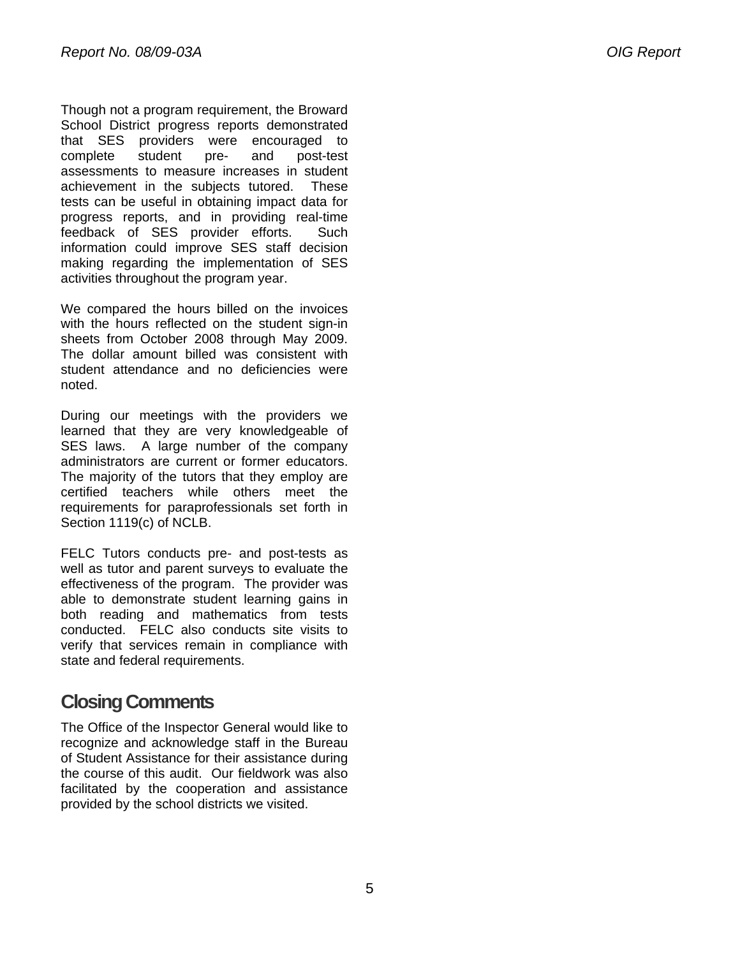assessments to measure increases in student achievement in the subjects tutored. These tests can be useful in obtaining impact data for progress reports, and in providing real-time feedback of SES provider efforts. Such information could improve SES staff decision making regarding the implementation of SES activities throughout the program year.

We compared the hours billed on the invoices with the hours reflected on the student sign-in sheets from October 2008 through May 2009. The dollar amount billed was consistent with student attendance and no deficiencies were noted.

During our meetings with the providers we learned that they are very knowledgeable of SES laws. A large number of the company administrators are current or former educators. The majority of the tutors that they employ are certified teachers while others meet the requirements for paraprofessionals set forth in Section 1119(c) of NCLB.

FELC Tutors conducts pre- and post-tests as well as tutor and parent surveys to evaluate the effectiveness of the program. The provider was able to demonstrate student learning gains in both reading and mathematics from tests conducted. FELC also conducts site visits to verify that services remain in compliance with state and federal requirements.

# **Closing Comments**

The Office of the Inspector General would like to recognize and acknowledge staff in the Bureau of Student Assistance for their assistance during the course of this audit. Our fieldwork was also facilitated by the cooperation and assistance provided by the school districts we visited.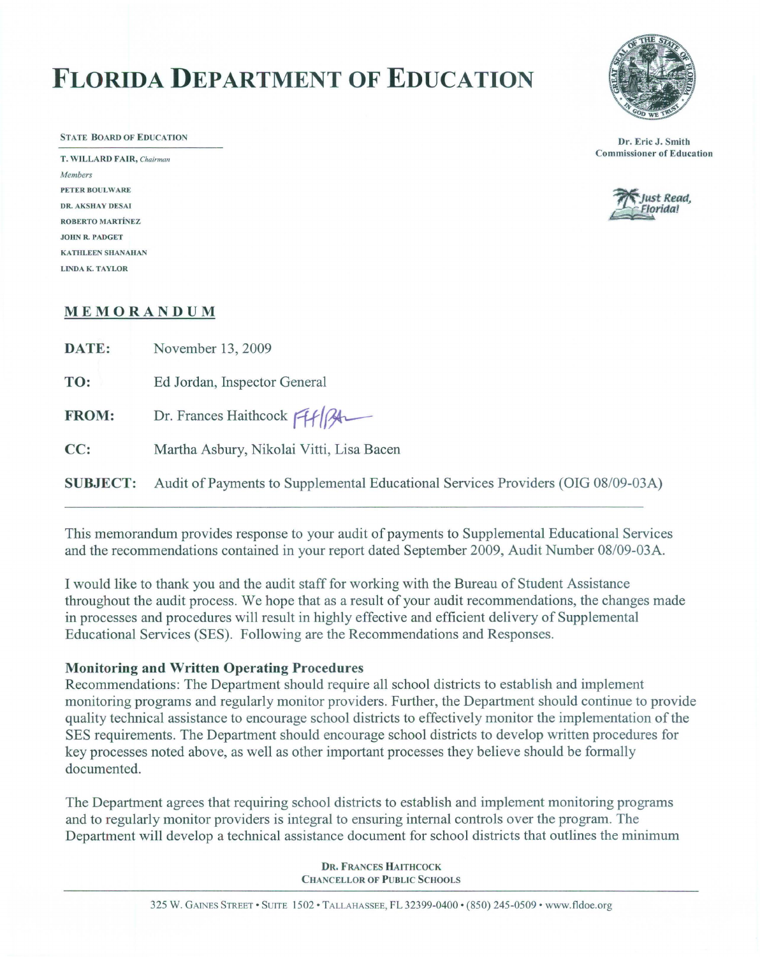# **FLORIDA DEPARTMENT OF EDUCATION**

STATE BOARD OF EDUCATION Dr. Eric J. Smith

*Members*  PETER BOULWARE DR. AKSHAY DESAI **WASHAY DESAI** Florida! ROBERTO MARTiNEZ JOHN R. PADGET KATHLEEN SHANAHAN LINDA K. TAYLOR





## **MEMORANDUM**

| DATE:           | November 13, 2009                                                                |
|-----------------|----------------------------------------------------------------------------------|
| TO:             | Ed Jordan, Inspector General                                                     |
| <b>FROM:</b>    | Dr. Frances Haithcock FIFIRAL                                                    |
| CC:             | Martha Asbury, Nikolai Vitti, Lisa Bacen                                         |
| <b>SUBJECT:</b> | Audit of Payments to Supplemental Educational Services Providers (OIG 08/09-03A) |
|                 |                                                                                  |

This memorandum provides response to your audit of payments to Supplemental Educational Services and the recommendations contained in your report dated September 2009, Audit Number 08/09-03A.

I would like to thank you and the audit staff for working with the Bureau of Student Assistance throughout the audit process. We hope that as a result of your audit recommendations, the changes made in processes and procedures will result in highly effective and efficient delivery of Supplemental Educational Services (SES). Following are the Recommendations and Responses.

### **Monitoring and Written Operating Procedures**

Recommendations: The Department should require all school districts to establish and implement monitoring programs and regularly monitor providers. Further, the Department should continue to provide quality technical assistance to encourage school districts to effectively monitor the implementation of the SES requirements. The Department should encourage school districts to develop written procedures for key processes noted above, as well as other important processes they believe should be formally documented.

The Department agrees that requiring school districts to establish and implement monitoring programs and to regularly monitor providers is integral to ensuring internal controls over the program. The Department will develop a technical assistance document for school districts that outlines the minimum

> DR. FRANCES HAITHCOCK **CHANCELLOR OF PUBLIC SCHOOLS**